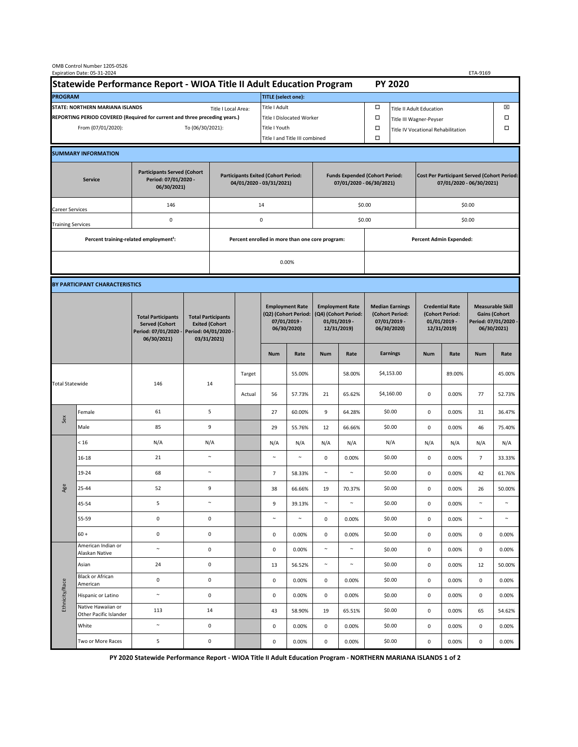| OMB Control Number 1205-0526<br>Expiration Date: 05-31-2024<br>ETA-9169                     |                                                    |                                                                                           |                                                                                           |                  |        |                                                                               |                                                                   |                                                                                 |                                |                                                                            |                                                                                |                                                                            |        |                                                                                        |        |  |  |
|---------------------------------------------------------------------------------------------|----------------------------------------------------|-------------------------------------------------------------------------------------------|-------------------------------------------------------------------------------------------|------------------|--------|-------------------------------------------------------------------------------|-------------------------------------------------------------------|---------------------------------------------------------------------------------|--------------------------------|----------------------------------------------------------------------------|--------------------------------------------------------------------------------|----------------------------------------------------------------------------|--------|----------------------------------------------------------------------------------------|--------|--|--|
| Statewide Performance Report - WIOA Title II Adult Education Program                        |                                                    |                                                                                           |                                                                                           |                  |        |                                                                               |                                                                   |                                                                                 |                                |                                                                            |                                                                                | <b>PY 2020</b>                                                             |        |                                                                                        |        |  |  |
| <b>PROGRAM</b>                                                                              |                                                    |                                                                                           |                                                                                           |                  |        | <b>TITLE</b> (select one):                                                    |                                                                   |                                                                                 |                                |                                                                            |                                                                                |                                                                            |        |                                                                                        |        |  |  |
| STATE: NORTHERN MARIANA ISLANDS<br>Title I Local Area:                                      |                                                    |                                                                                           |                                                                                           |                  |        | Title I Adult                                                                 |                                                                   |                                                                                 |                                | □<br><b>Title II Adult Education</b>                                       |                                                                                |                                                                            |        |                                                                                        | ⊠      |  |  |
| REPORTING PERIOD COVERED (Required for current and three preceding years.)                  |                                                    |                                                                                           |                                                                                           |                  |        | Title I Dislocated Worker                                                     |                                                                   |                                                                                 |                                | $\Box$                                                                     | Ω<br>Title III Wagner-Peyser                                                   |                                                                            |        |                                                                                        |        |  |  |
| From (07/01/2020):                                                                          |                                                    |                                                                                           |                                                                                           | To (06/30/2021): |        |                                                                               | Title I Youth                                                     |                                                                                 |                                | $\Box$<br>Title IV Vocational Rehabilitation                               |                                                                                |                                                                            |        |                                                                                        | □      |  |  |
|                                                                                             |                                                    |                                                                                           |                                                                                           |                  |        |                                                                               | Title I and Title III combined                                    |                                                                                 |                                | $\Box$                                                                     |                                                                                |                                                                            |        |                                                                                        |        |  |  |
|                                                                                             | <b>SUMMARY INFORMATION</b>                         |                                                                                           |                                                                                           |                  |        |                                                                               |                                                                   |                                                                                 |                                |                                                                            |                                                                                |                                                                            |        |                                                                                        |        |  |  |
| <b>Participants Served (Cohort</b><br>Period: 07/01/2020 -<br><b>Service</b><br>06/30/2021) |                                                    |                                                                                           | <b>Participants Exited (Cohort Period:</b><br>04/01/2020 - 03/31/2021)                    |                  |        |                                                                               | <b>Funds Expended (Cohort Period:</b><br>07/01/2020 - 06/30/2021) |                                                                                 |                                |                                                                            | <b>Cost Per Participant Served (Cohort Period:</b><br>07/01/2020 - 06/30/2021) |                                                                            |        |                                                                                        |        |  |  |
| Career Services                                                                             |                                                    | 146                                                                                       |                                                                                           |                  |        | 14                                                                            |                                                                   |                                                                                 |                                | \$0.00                                                                     |                                                                                | \$0.00                                                                     |        |                                                                                        |        |  |  |
| <b>Training Services</b>                                                                    |                                                    | 0                                                                                         |                                                                                           |                  |        | 0                                                                             |                                                                   |                                                                                 |                                | \$0.00                                                                     |                                                                                | \$0.00                                                                     |        |                                                                                        |        |  |  |
|                                                                                             | Percent training-related employment <sup>1</sup> : |                                                                                           | Percent enrolled in more than one core program:                                           |                  |        |                                                                               |                                                                   |                                                                                 | <b>Percent Admin Expended:</b> |                                                                            |                                                                                |                                                                            |        |                                                                                        |        |  |  |
|                                                                                             |                                                    |                                                                                           |                                                                                           |                  |        |                                                                               |                                                                   |                                                                                 |                                |                                                                            |                                                                                |                                                                            |        |                                                                                        |        |  |  |
|                                                                                             |                                                    |                                                                                           |                                                                                           | 0.00%            |        |                                                                               |                                                                   |                                                                                 |                                |                                                                            |                                                                                |                                                                            |        |                                                                                        |        |  |  |
|                                                                                             | BY PARTICIPANT CHARACTERISTICS                     |                                                                                           |                                                                                           |                  |        |                                                                               |                                                                   |                                                                                 |                                |                                                                            |                                                                                |                                                                            |        |                                                                                        |        |  |  |
|                                                                                             |                                                    | <b>Total Participants</b><br><b>Served (Cohort</b><br>Period: 07/01/2020 -<br>06/30/2021) | <b>Total Participants</b><br><b>Exited (Cohort</b><br>Period: 04/01/2020 -<br>03/31/2021) |                  |        | <b>Employment Rate</b><br>(Q2) (Cohort Period:<br>07/01/2019 -<br>06/30/2020) |                                                                   | <b>Employment Rate</b><br>(Q4) (Cohort Period:<br>$01/01/2019$ -<br>12/31/2019) |                                | <b>Median Earnings</b><br>(Cohort Period:<br>$07/01/2019 -$<br>06/30/2020) |                                                                                | <b>Credential Rate</b><br>(Cohort Period:<br>$01/01/2019$ -<br>12/31/2019) |        | <b>Measurable Skill</b><br><b>Gains (Cohort</b><br>Period: 07/01/2020 -<br>06/30/2021) |        |  |  |
|                                                                                             |                                                    |                                                                                           |                                                                                           |                  |        | <b>Num</b>                                                                    | Rate                                                              | <b>Num</b>                                                                      | Rate                           |                                                                            | <b>Earnings</b>                                                                | <b>Num</b>                                                                 | Rate   | <b>Num</b>                                                                             | Rate   |  |  |
| <b>Total Statewide</b>                                                                      |                                                    | 146                                                                                       | 14                                                                                        |                  | Target |                                                                               | 55.00%                                                            |                                                                                 | 58.00%                         |                                                                            | \$4,153.00                                                                     |                                                                            | 89.00% |                                                                                        | 45.00% |  |  |
|                                                                                             |                                                    |                                                                                           |                                                                                           |                  | Actual | 56                                                                            | 57.73%                                                            | 21                                                                              | 65.62%                         |                                                                            | \$4,160.00                                                                     | 0                                                                          | 0.00%  | 77                                                                                     | 52.73% |  |  |
| Sex                                                                                         | Female                                             | 61                                                                                        | 5                                                                                         |                  |        | 27                                                                            | 60.00%                                                            | 9                                                                               | 64.28%                         |                                                                            | \$0.00                                                                         | $\mathsf 0$                                                                | 0.00%  | 31                                                                                     | 36.47% |  |  |
|                                                                                             | Male                                               | 85                                                                                        | 9                                                                                         |                  |        | 29                                                                            | 55.76%                                                            | 12                                                                              | 66.66%                         |                                                                            | \$0.00                                                                         | $\mathsf 0$                                                                | 0.00%  | 46                                                                                     | 75.40% |  |  |
| Age                                                                                         | < 16                                               | N/A                                                                                       | N/A                                                                                       |                  |        | N/A                                                                           | N/A                                                               | N/A                                                                             | N/A                            |                                                                            | N/A                                                                            | N/A                                                                        | N/A    | N/A                                                                                    | N/A    |  |  |
|                                                                                             | $16 - 18$                                          | 21                                                                                        | $\sim$                                                                                    |                  |        | $\sim$                                                                        | $\sim$                                                            | 0                                                                               | 0.00%                          |                                                                            | \$0.00                                                                         | $\mathsf 0$                                                                | 0.00%  | $\overline{7}$                                                                         | 33.33% |  |  |
|                                                                                             | 19-24                                              | 68                                                                                        | $\sim$                                                                                    |                  |        | $\overline{7}$                                                                | 58.33%                                                            | $\sim$                                                                          | $\sim$                         |                                                                            | \$0.00                                                                         | 0                                                                          | 0.00%  | 42                                                                                     | 61.76% |  |  |
|                                                                                             | 25-44                                              | 52                                                                                        | 9                                                                                         |                  |        | 38                                                                            | 66.66%                                                            | 19                                                                              | 70.37%                         |                                                                            | \$0.00                                                                         | 0                                                                          | 0.00%  | 26                                                                                     | 50.00% |  |  |
|                                                                                             | 45-54                                              | 5                                                                                         | $\sim$                                                                                    |                  |        | 9                                                                             | 39.13%                                                            | $\sim$                                                                          | $\sim$                         |                                                                            | \$0.00                                                                         | $\mathsf 0$                                                                | 0.00%  | $\sim$                                                                                 | $\sim$ |  |  |
|                                                                                             | 55-59                                              | $\mathsf 0$                                                                               | 0                                                                                         |                  |        | $\sim$                                                                        | $\sim$                                                            | 0                                                                               | 0.00%                          |                                                                            | \$0.00                                                                         | 0                                                                          | 0.00%  | $\sim$                                                                                 | $\sim$ |  |  |
|                                                                                             | $60 +$                                             | $\mathsf 0$                                                                               | $\pmb{0}$                                                                                 |                  |        | 0                                                                             | 0.00%                                                             | 0                                                                               | 0.00%                          |                                                                            | \$0.00                                                                         | $\mathbf 0$                                                                | 0.00%  | 0                                                                                      | 0.00%  |  |  |
| Ethnicity/Race                                                                              | American Indian or<br>Alaskan Native               | $\sim$                                                                                    | $\pmb{0}$                                                                                 |                  |        | 0                                                                             | 0.00%                                                             | $\sim$                                                                          | $\sim$                         |                                                                            | \$0.00                                                                         | 0                                                                          | 0.00%  | 0                                                                                      | 0.00%  |  |  |
|                                                                                             | Asian                                              | 24                                                                                        |                                                                                           | $\mathsf 0$      |        | 13                                                                            | 56.52%                                                            | $\sim$                                                                          | $\sim$                         |                                                                            | \$0.00                                                                         | 0                                                                          | 0.00%  | 12                                                                                     | 50.00% |  |  |
|                                                                                             | Black or African<br>American                       | $\pmb{0}$                                                                                 | $\mathsf 0$                                                                               |                  |        | 0                                                                             | 0.00%                                                             | 0                                                                               | 0.00%                          |                                                                            | \$0.00                                                                         | $\pmb{0}$                                                                  | 0.00%  | $\mathsf{O}\xspace$                                                                    | 0.00%  |  |  |
|                                                                                             | Hispanic or Latino                                 | $\sim$                                                                                    | $\mathsf 0$                                                                               |                  |        | $\mathsf{O}\xspace$                                                           | 0.00%                                                             | 0                                                                               | 0.00%                          |                                                                            | \$0.00                                                                         | $\pmb{0}$                                                                  | 0.00%  | $\mathsf{O}\xspace$                                                                    | 0.00%  |  |  |
|                                                                                             | Native Hawaiian or<br>Other Pacific Islander       | 113                                                                                       |                                                                                           | 14               |        | 43                                                                            | 58.90%                                                            | 19                                                                              | 65.51%                         |                                                                            | \$0.00                                                                         | $\mathbf 0$                                                                | 0.00%  | 65                                                                                     | 54.62% |  |  |
|                                                                                             | White                                              | $\sim$                                                                                    |                                                                                           | $\mathsf 0$      |        | 0                                                                             | 0.00%                                                             | 0                                                                               | 0.00%                          |                                                                            | \$0.00                                                                         | 0                                                                          | 0.00%  | 0                                                                                      | 0.00%  |  |  |
|                                                                                             | Two or More Races                                  | 5                                                                                         | $\pmb{0}$                                                                                 |                  |        | 0                                                                             | 0.00%                                                             | 0                                                                               | 0.00%                          |                                                                            | \$0.00                                                                         | $\mathbf 0$                                                                | 0.00%  | 0                                                                                      | 0.00%  |  |  |

**PY 2020 Statewide Performance Report - WIOA Title II Adult Education Program - NORTHERN MARIANA ISLANDS 1 of 2**